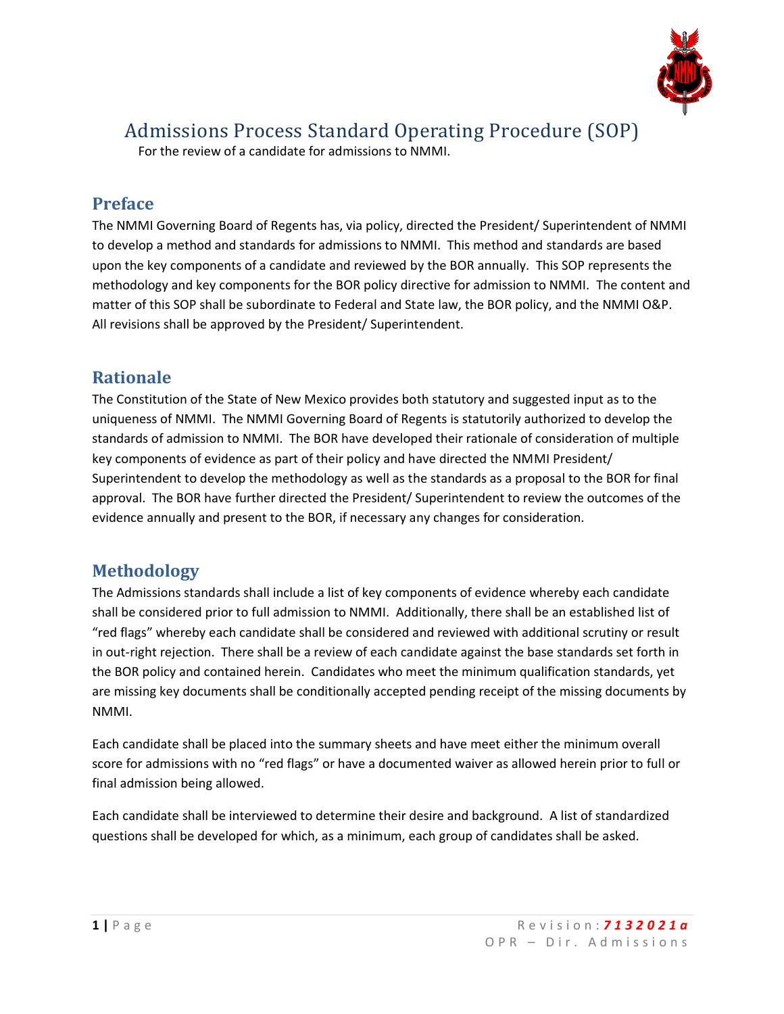

For the review of a candidate for admissions to NMMI.

## **Preface**

The NMMI Governing Board of Regents has, via policy, directed the President/ Superintendent of NMMI to develop a method and standards for admissions to NMMI. This method and standards are based upon the key components of a candidate and reviewed by the BOR annually. This SOP represents the methodology and key components for the BOR policy directive for admission to NMMI. The content and matter of this SOP shall be subordinate to Federal and State law, the BOR policy, and the NMMI O&P. All revisions shall be approved by the President/ Superintendent.

## **Rationale**

The Constitution of the State of New Mexico provides both statutory and suggested input as to the uniqueness of NMMI. The NMMI Governing Board of Regents is statutorily authorized to develop the standards of admission to NMMI. The BOR have developed their rationale of consideration of multiple key components of evidence as part of their policy and have directed the NMMI President/ Superintendent to develop the methodology as well as the standards as a proposal to the BOR for final approval. The BOR have further directed the President/ Superintendent to review the outcomes of the evidence annually and present to the BOR, if necessary any changes for consideration.

## **Methodology**

The Admissions standards shall include a list of key components of evidence whereby each candidate shall be considered prior to full admission to NMMI. Additionally, there shall be an established list of "red flags" whereby each candidate shall be considered and reviewed with additional scrutiny or result in out-right rejection. There shall be a review of each candidate against the base standards set forth in the BOR policy and contained herein. Candidates who meet the minimum qualification standards, yet are missing key documents shall be conditionally accepted pending receipt of the missing documents by NMMI.

Each candidate shall be placed into the summary sheets and have meet either the minimum overall score for admissions with no "red flags" or have a documented waiver as allowed herein prior to full or final admission being allowed.

Each candidate shall be interviewed to determine their desire and background. A list of standardized questions shall be developed for which, as a minimum, each group of candidates shall be asked.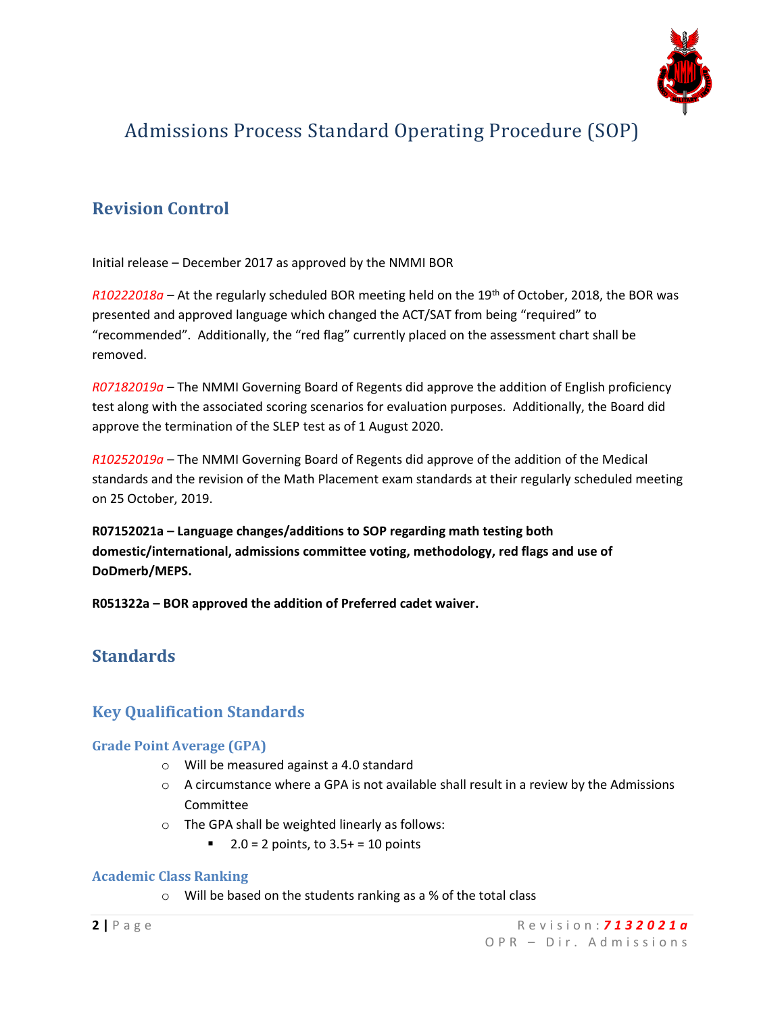

## **Revision Control**

Initial release – December 2017 as approved by the NMMI BOR

*R10222018a* – At the regularly scheduled BOR meeting held on the 19th of October, 2018, the BOR was presented and approved language which changed the ACT/SAT from being "required" to "recommended". Additionally, the "red flag" currently placed on the assessment chart shall be removed.

*R07182019a* – The NMMI Governing Board of Regents did approve the addition of English proficiency test along with the associated scoring scenarios for evaluation purposes. Additionally, the Board did approve the termination of the SLEP test as of 1 August 2020.

*R10252019a* – The NMMI Governing Board of Regents did approve of the addition of the Medical standards and the revision of the Math Placement exam standards at their regularly scheduled meeting on 25 October, 2019.

**R07152021a – Language changes/additions to SOP regarding math testing both domestic/international, admissions committee voting, methodology, red flags and use of DoDmerb/MEPS.** 

**R051322a – BOR approved the addition of Preferred cadet waiver.**

## **Standards**

### **Key Qualification Standards**

### **Grade Point Average (GPA)**

- o Will be measured against a 4.0 standard
- $\circ$  A circumstance where a GPA is not available shall result in a review by the Admissions Committee
- o The GPA shall be weighted linearly as follows:
	- 2.0 = 2 points, to  $3.5+$  = 10 points

### **Academic Class Ranking**

o Will be based on the students ranking as a % of the total class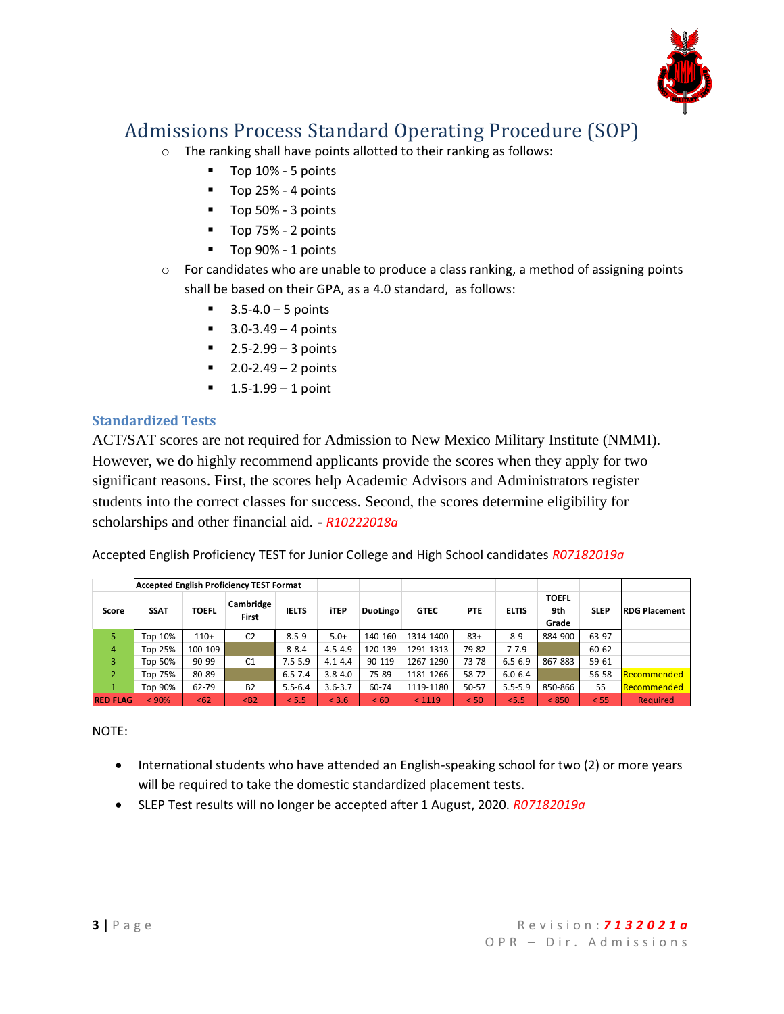

- o The ranking shall have points allotted to their ranking as follows:
	- Top 10% 5 points
	- Top 25% 4 points
	- Top 50% 3 points
	- Top 75% 2 points
	- Top 90% 1 points
- $\circ$  For candidates who are unable to produce a class ranking, a method of assigning points shall be based on their GPA, as a 4.0 standard, as follows:
	- $\blacksquare$  3.5-4.0 5 points
	- $\blacksquare$  3.0-3.49 4 points
	- $2.5 2.99 3$  points
	- $\blacksquare$  2.0-2.49 2 points
	- $\blacksquare$  1.5-1.99 1 point

### **Standardized Tests**

ACT/SAT scores are not required for Admission to New Mexico Military Institute (NMMI). However, we do highly recommend applicants provide the scores when they apply for two significant reasons. First, the scores help Academic Advisors and Administrators register students into the correct classes for success. Second, the scores determine eligibility for scholarships and other financial aid. - *R10222018a*

Accepted English Proficiency TEST for Junior College and High School candidates *R07182019a*

|                  |             | <b>Accepted English Proficiency TEST Format</b> |                    |              |             |                 |             |            |              |                              |             |                      |
|------------------|-------------|-------------------------------------------------|--------------------|--------------|-------------|-----------------|-------------|------------|--------------|------------------------------|-------------|----------------------|
| Score            | <b>SSAT</b> | <b>TOEFL</b>                                    | Cambridge<br>First | <b>IELTS</b> | <b>iTEP</b> | <b>DuoLingo</b> | <b>GTEC</b> | <b>PTE</b> | <b>ELTIS</b> | <b>TOEFL</b><br>9th<br>Grade | <b>SLEP</b> | <b>RDG Placement</b> |
| 5.               | Top 10%     | $110+$                                          | C <sub>2</sub>     | $8.5 - 9$    | $5.0+$      | 140-160         | 1314-1400   | $83+$      | $8 - 9$      | 884-900                      | 63-97       |                      |
| $\overline{4}$   | Top 25%     | 100-109                                         |                    | $8 - 8.4$    | $4.5 - 4.9$ | 120-139         | 1291-1313   | 79-82      | $7 - 7.9$    |                              | 60-62       |                      |
| 3                | Fop 50%     | $90 - 99$                                       | C <sub>1</sub>     | $7.5 - 5.9$  | $4.1 - 4.4$ | 90-119          | 1267-1290   | 73-78      | $6.5 - 6.9$  | 867-883                      | 59-61       |                      |
| $\overline{2}$   | Top 75%     | 80-89                                           |                    | $6.5 - 7.4$  | $3.8 - 4.0$ | 75-89           | 1181-1266   | 58-72      | $6.0 - 6.4$  |                              | 56-58       | <b>Recommended</b>   |
|                  | Fop 90%     | 62-79                                           | <b>B2</b>          | $5.5 - 6.4$  | $3.6 - 3.7$ | 60-74           | 1119-1180   | 50-57      | $5.5 - 5.9$  | 850-866                      | 55          | Recommended          |
| <b>RED FLAGI</b> | < 90%       | <62                                             | $B2$               | < 5.5        | < 3.6       | < 60            | < 1119      | < 50       | 5.5          | < 850                        | < 55        | <b>Required</b>      |

NOTE:

- International students who have attended an English-speaking school for two (2) or more years will be required to take the domestic standardized placement tests.
- SLEP Test results will no longer be accepted after 1 August, 2020. *R07182019a*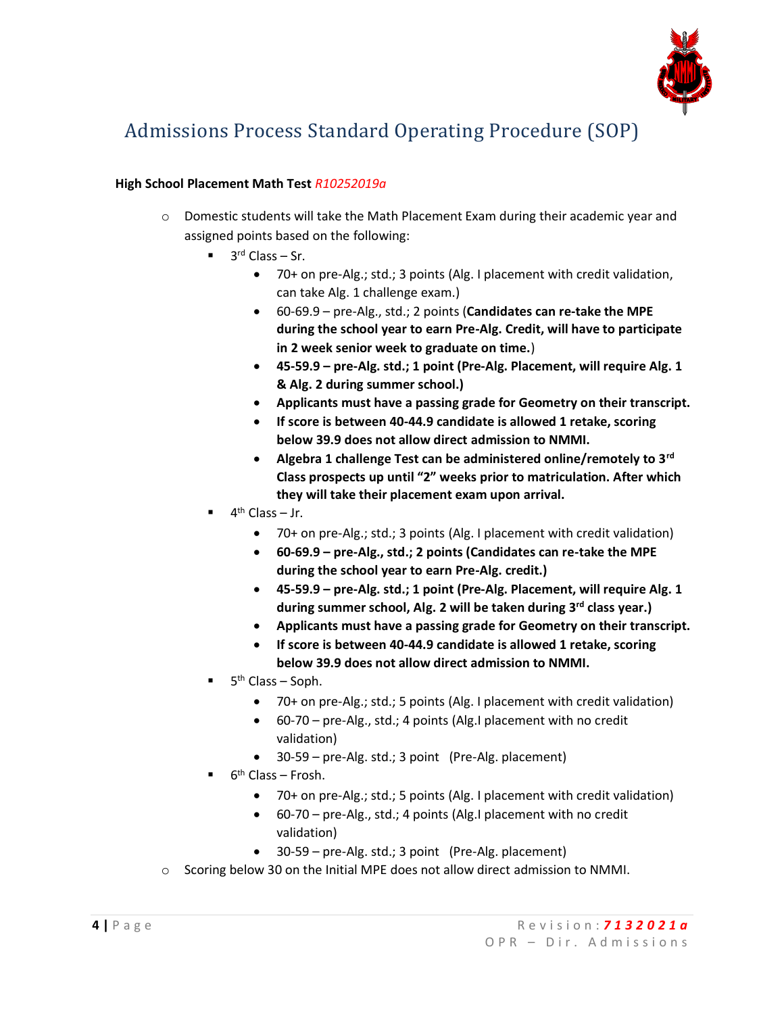

### **High School Placement Math Test** *R10252019a*

- $\circ$  Domestic students will take the Math Placement Exam during their academic year and assigned points based on the following:
	- $\blacksquare$  3<sup>rd</sup> Class Sr.
		- 70+ on pre-Alg.; std.; 3 points (Alg. I placement with credit validation, can take Alg. 1 challenge exam.)
		- 60-69.9 pre-Alg., std.; 2 points (**Candidates can re-take the MPE during the school year to earn Pre-Alg. Credit, will have to participate in 2 week senior week to graduate on time.**)
		- **45-59.9 – pre-Alg. std.; 1 point (Pre-Alg. Placement, will require Alg. 1 & Alg. 2 during summer school.)**
		- **Applicants must have a passing grade for Geometry on their transcript.**
		- **If score is between 40-44.9 candidate is allowed 1 retake, scoring below 39.9 does not allow direct admission to NMMI.**
		- **Algebra 1 challenge Test can be administered online/remotely to 3rd Class prospects up until "2" weeks prior to matriculation. After which they will take their placement exam upon arrival.**
	- $\blacksquare$  4<sup>th</sup> Class Jr.
		- 70+ on pre-Alg.; std.; 3 points (Alg. I placement with credit validation)
		- **60-69.9 – pre-Alg., std.; 2 points (Candidates can re-take the MPE during the school year to earn Pre-Alg. credit.)**
		- **45-59.9 – pre-Alg. std.; 1 point (Pre-Alg. Placement, will require Alg. 1 during summer school, Alg. 2 will be taken during 3rd class year.)**
		- **Applicants must have a passing grade for Geometry on their transcript.**
		- **If score is between 40-44.9 candidate is allowed 1 retake, scoring below 39.9 does not allow direct admission to NMMI.**
	- $\blacksquare$  5<sup>th</sup> Class Soph.
		- 70+ on pre-Alg.; std.; 5 points (Alg. I placement with credit validation)
		- 60-70 pre-Alg., std.; 4 points (Alg.I placement with no credit validation)
		- 30-59 pre-Alg. std.; 3 point (Pre-Alg. placement)
	- $\blacksquare$  6<sup>th</sup> Class Frosh.
		- 70+ on pre-Alg.; std.; 5 points (Alg. I placement with credit validation)
		- 60-70 pre-Alg., std.; 4 points (Alg.I placement with no credit validation)
		- 30-59 pre-Alg. std.; 3 point (Pre-Alg. placement)
- $\circ$  Scoring below 30 on the Initial MPE does not allow direct admission to NMMI.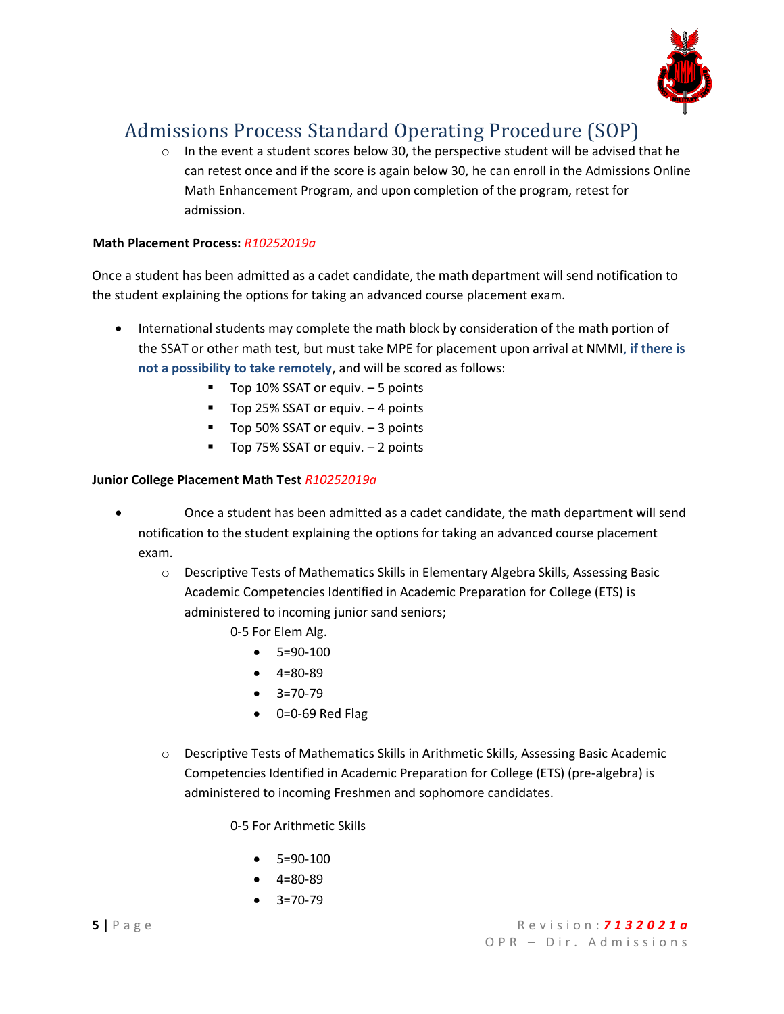

 $\circ$  In the event a student scores below 30, the perspective student will be advised that he can retest once and if the score is again below 30, he can enroll in the Admissions Online Math Enhancement Program, and upon completion of the program, retest for admission.

#### **Math Placement Process:** *R10252019a*

Once a student has been admitted as a cadet candidate, the math department will send notification to the student explaining the options for taking an advanced course placement exam.

- International students may complete the math block by consideration of the math portion of the SSAT or other math test, but must take MPE for placement upon arrival at NMMI, **if there is not a possibility to take remotely**, and will be scored as follows:
	- Top 10% SSAT or equiv. 5 points
	- Top 25% SSAT or equiv. 4 points
	- Top 50% SSAT or equiv. 3 points
	- Top 75% SSAT or equiv. 2 points

#### **Junior College Placement Math Test** *R10252019a*

- Once a student has been admitted as a cadet candidate, the math department will send notification to the student explaining the options for taking an advanced course placement exam.
	- o Descriptive Tests of Mathematics Skills in Elementary Algebra Skills, Assessing Basic Academic Competencies Identified in Academic Preparation for College (ETS) is administered to incoming junior sand seniors;
		- 0-5 For Elem Alg.
			- 5=90-100
			- $-4=80-89$
			- $3=70-79$
			- 0=0-69 Red Flag
	- o Descriptive Tests of Mathematics Skills in Arithmetic Skills, Assessing Basic Academic Competencies Identified in Academic Preparation for College (ETS) (pre-algebra) is administered to incoming Freshmen and sophomore candidates.

0-5 For Arithmetic Skills

- 5=90-100
- 4=80-89
- 3=70-79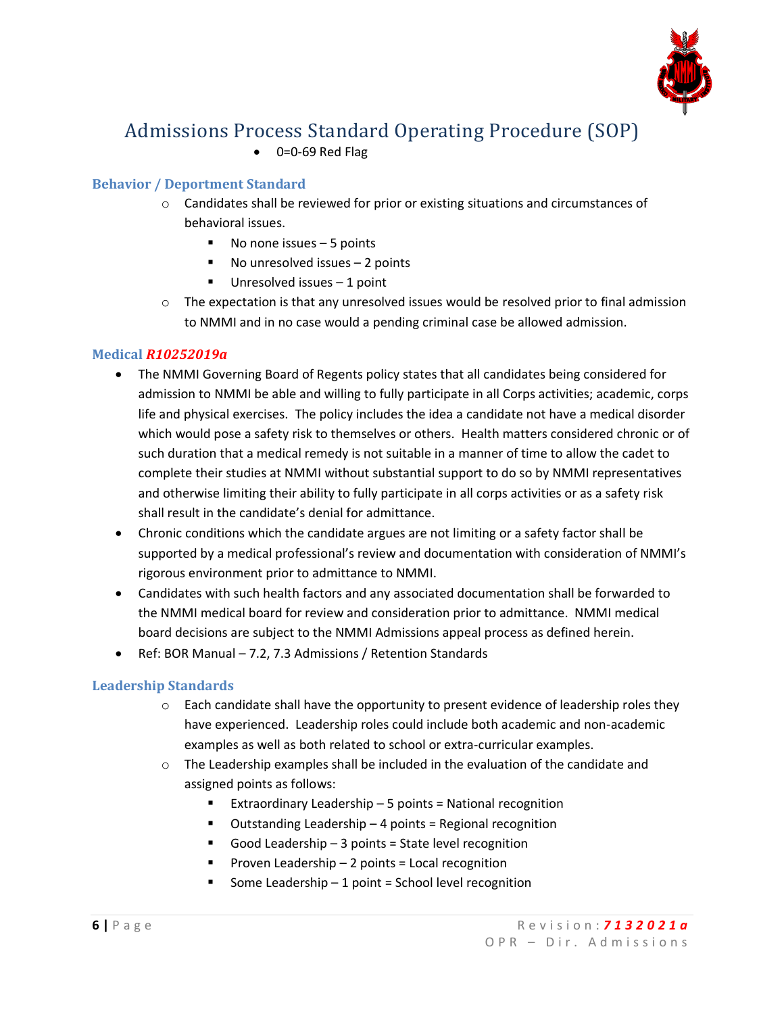

• 0=0-69 Red Flag

### **Behavior / Deportment Standard**

- $\circ$  Candidates shall be reviewed for prior or existing situations and circumstances of behavioral issues.
	- No none issues 5 points
	- $\blacksquare$  No unresolved issues  $-2$  points
	- $\blacksquare$  Unresolved issues 1 point
- $\circ$  The expectation is that any unresolved issues would be resolved prior to final admission to NMMI and in no case would a pending criminal case be allowed admission.

### **Medical** *R10252019a*

- The NMMI Governing Board of Regents policy states that all candidates being considered for admission to NMMI be able and willing to fully participate in all Corps activities; academic, corps life and physical exercises. The policy includes the idea a candidate not have a medical disorder which would pose a safety risk to themselves or others. Health matters considered chronic or of such duration that a medical remedy is not suitable in a manner of time to allow the cadet to complete their studies at NMMI without substantial support to do so by NMMI representatives and otherwise limiting their ability to fully participate in all corps activities or as a safety risk shall result in the candidate's denial for admittance.
- Chronic conditions which the candidate argues are not limiting or a safety factor shall be supported by a medical professional's review and documentation with consideration of NMMI's rigorous environment prior to admittance to NMMI.
- Candidates with such health factors and any associated documentation shall be forwarded to the NMMI medical board for review and consideration prior to admittance. NMMI medical board decisions are subject to the NMMI Admissions appeal process as defined herein.
- Ref: BOR Manual 7.2, 7.3 Admissions / Retention Standards

### **Leadership Standards**

- $\circ$  Each candidate shall have the opportunity to present evidence of leadership roles they have experienced. Leadership roles could include both academic and non-academic examples as well as both related to school or extra-curricular examples.
- $\circ$  The Leadership examples shall be included in the evaluation of the candidate and assigned points as follows:
	- Extraordinary Leadership  $-5$  points = National recognition
	- Outstanding Leadership 4 points = Regional recognition
	- Good Leadership 3 points = State level recognition
	- $\blacksquare$  Proven Leadership 2 points = Local recognition
	- Some Leadership  $-1$  point = School level recognition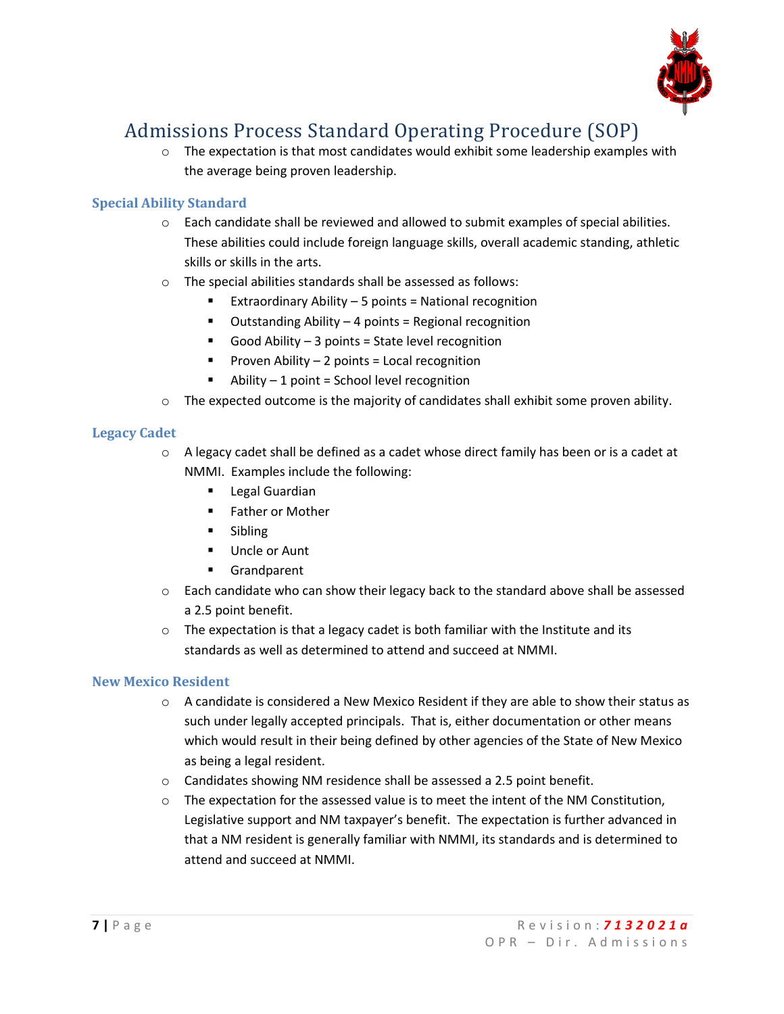

 $\circ$  The expectation is that most candidates would exhibit some leadership examples with the average being proven leadership.

### **Special Ability Standard**

- $\circ$  Each candidate shall be reviewed and allowed to submit examples of special abilities. These abilities could include foreign language skills, overall academic standing, athletic skills or skills in the arts.
- o The special abilities standards shall be assessed as follows:
	- Extraordinary Ability  $-5$  points = National recognition
	- Outstanding Ability 4 points = Regional recognition
	- Good Ability  $-3$  points = State level recognition
	- **•** Proven Ability  $-2$  points = Local recognition
	- $\blacksquare$  Ability 1 point = School level recognition
- $\circ$  The expected outcome is the majority of candidates shall exhibit some proven ability.

### **Legacy Cadet**

- $\circ$  A legacy cadet shall be defined as a cadet whose direct family has been or is a cadet at NMMI. Examples include the following:
	- Legal Guardian
	- Father or Mother
	- Sibling
	- Uncle or Aunt
	- Grandparent
- $\circ$  Each candidate who can show their legacy back to the standard above shall be assessed a 2.5 point benefit.
- $\circ$  The expectation is that a legacy cadet is both familiar with the Institute and its standards as well as determined to attend and succeed at NMMI.

### **New Mexico Resident**

- $\circ$  A candidate is considered a New Mexico Resident if they are able to show their status as such under legally accepted principals. That is, either documentation or other means which would result in their being defined by other agencies of the State of New Mexico as being a legal resident.
- o Candidates showing NM residence shall be assessed a 2.5 point benefit.
- $\circ$  The expectation for the assessed value is to meet the intent of the NM Constitution, Legislative support and NM taxpayer's benefit. The expectation is further advanced in that a NM resident is generally familiar with NMMI, its standards and is determined to attend and succeed at NMMI.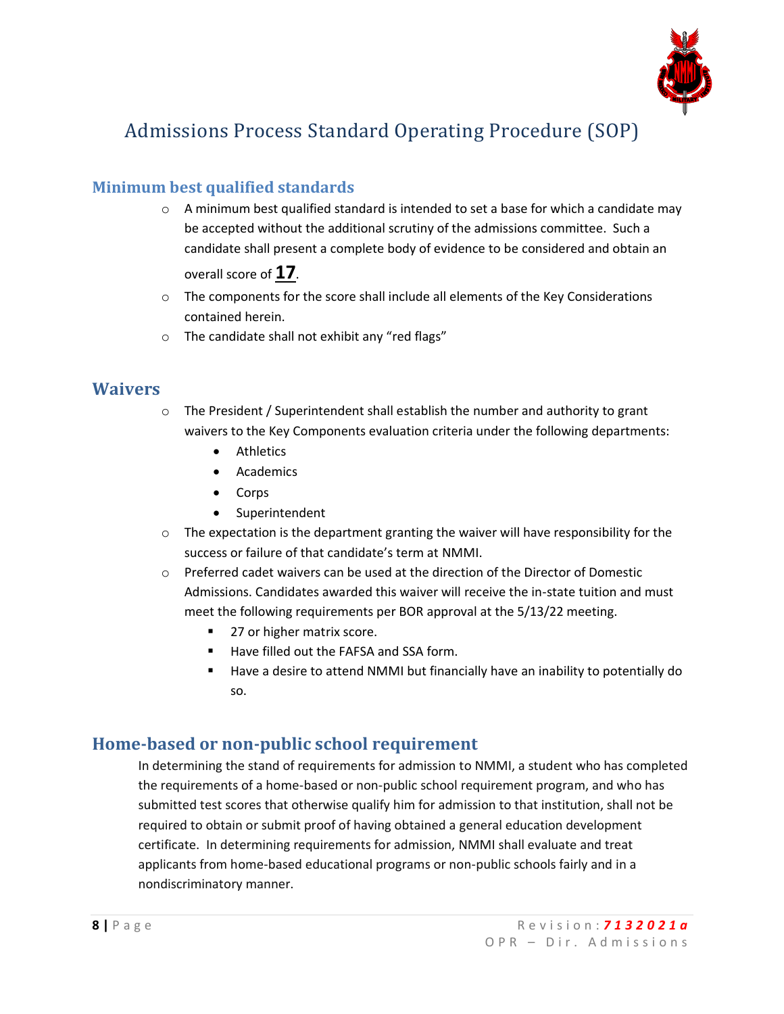

### **Minimum best qualified standards**

 $\circ$  A minimum best qualified standard is intended to set a base for which a candidate may be accepted without the additional scrutiny of the admissions committee. Such a candidate shall present a complete body of evidence to be considered and obtain an

overall score of **17**.

- $\circ$  The components for the score shall include all elements of the Key Considerations contained herein.
- o The candidate shall not exhibit any "red flags"

### **Waivers**

- $\circ$  The President / Superintendent shall establish the number and authority to grant waivers to the Key Components evaluation criteria under the following departments:
	- Athletics
	- Academics
	- Corps
	- Superintendent
- $\circ$  The expectation is the department granting the waiver will have responsibility for the success or failure of that candidate's term at NMMI.
- o Preferred cadet waivers can be used at the direction of the Director of Domestic Admissions. Candidates awarded this waiver will receive the in-state tuition and must meet the following requirements per BOR approval at the 5/13/22 meeting.
	- 27 or higher matrix score.
	- Have filled out the FAFSA and SSA form.
	- Have a desire to attend NMMI but financially have an inability to potentially do so.

### **Home-based or non-public school requirement**

In determining the stand of requirements for admission to NMMI, a student who has completed the requirements of a home-based or non-public school requirement program, and who has submitted test scores that otherwise qualify him for admission to that institution, shall not be required to obtain or submit proof of having obtained a general education development certificate. In determining requirements for admission, NMMI shall evaluate and treat applicants from home-based educational programs or non-public schools fairly and in a nondiscriminatory manner.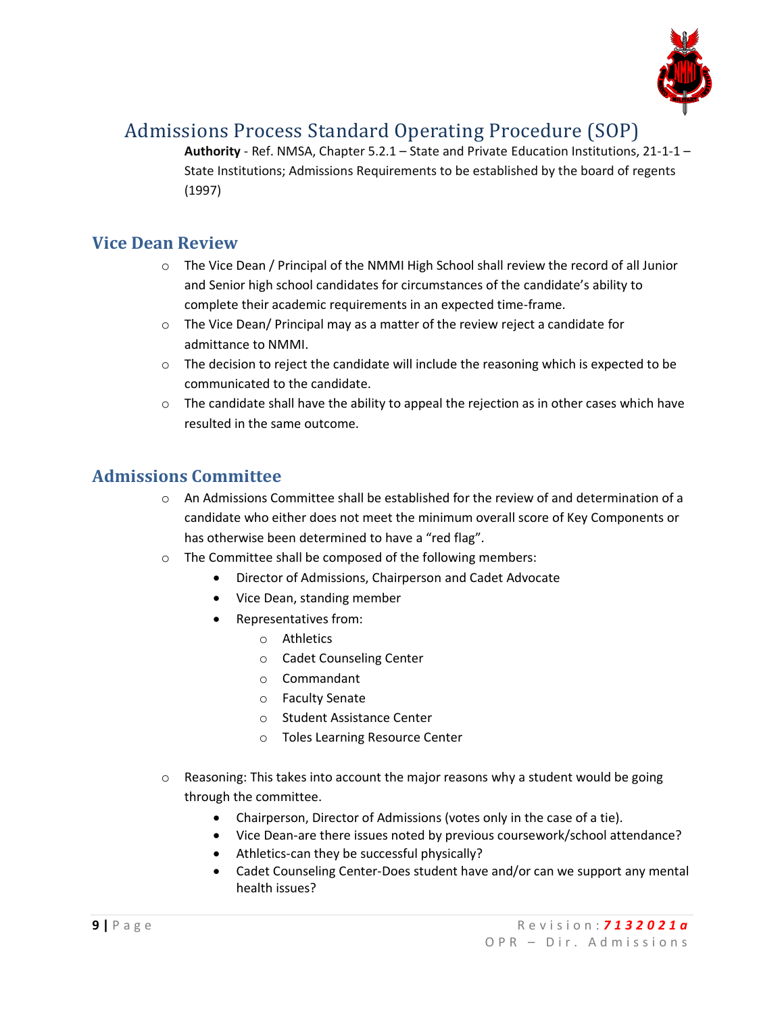

**Authority** - Ref. NMSA, Chapter 5.2.1 – State and Private Education Institutions, 21-1-1 – State Institutions; Admissions Requirements to be established by the board of regents (1997)

### **Vice Dean Review**

- o The Vice Dean / Principal of the NMMI High School shall review the record of all Junior and Senior high school candidates for circumstances of the candidate's ability to complete their academic requirements in an expected time-frame.
- $\circ$  The Vice Dean/ Principal may as a matter of the review reject a candidate for admittance to NMMI.
- $\circ$  The decision to reject the candidate will include the reasoning which is expected to be communicated to the candidate.
- $\circ$  The candidate shall have the ability to appeal the rejection as in other cases which have resulted in the same outcome.

## **Admissions Committee**

- $\circ$  An Admissions Committee shall be established for the review of and determination of a candidate who either does not meet the minimum overall score of Key Components or has otherwise been determined to have a "red flag".
- o The Committee shall be composed of the following members:
	- Director of Admissions, Chairperson and Cadet Advocate
	- Vice Dean, standing member
	- Representatives from:
		- o Athletics
		- o Cadet Counseling Center
		- o Commandant
		- o Faculty Senate
		- o Student Assistance Center
		- o Toles Learning Resource Center
- o Reasoning: This takes into account the major reasons why a student would be going through the committee.
	- Chairperson, Director of Admissions (votes only in the case of a tie).
	- Vice Dean-are there issues noted by previous coursework/school attendance?
	- Athletics-can they be successful physically?
	- Cadet Counseling Center-Does student have and/or can we support any mental health issues?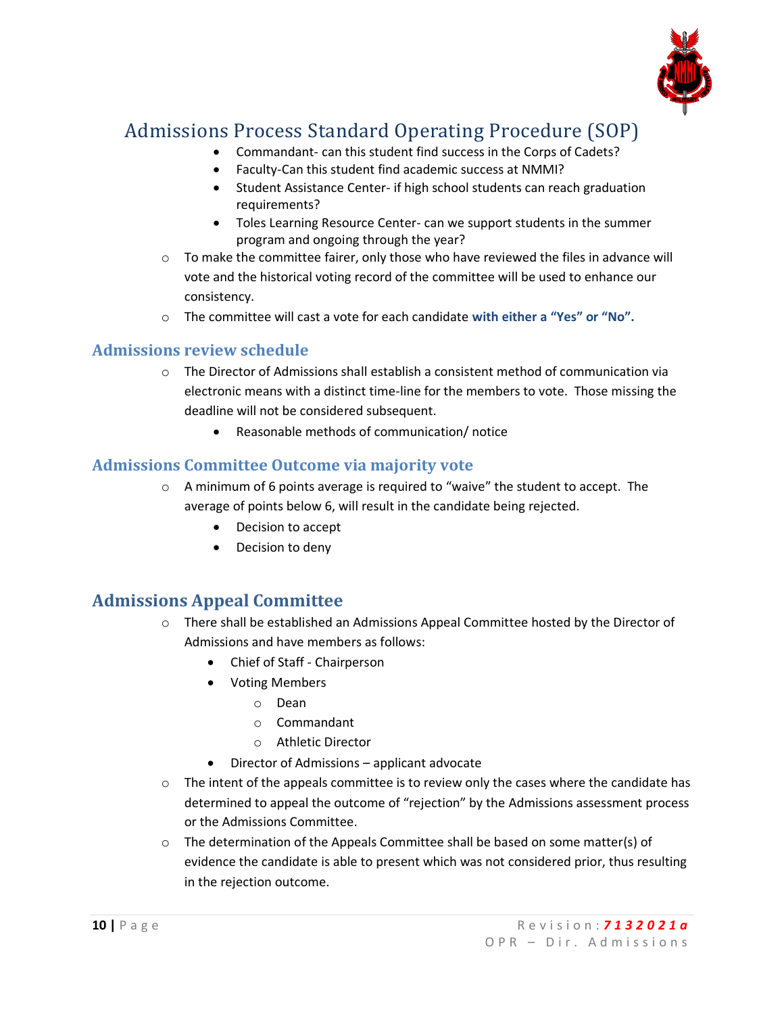

- Commandant- can this student find success in the Corps of Cadets?
- Faculty-Can this student find academic success at NMMI?
- Student Assistance Center- if high school students can reach graduation requirements?
- Toles Learning Resource Center- can we support students in the summer program and ongoing through the year?
- $\circ$  To make the committee fairer, only those who have reviewed the files in advance will vote and the historical voting record of the committee will be used to enhance our consistency.
- o The committee will cast a vote for each candidate **with either a "Yes" or "No".**

### **Admissions review schedule**

- $\circ$  The Director of Admissions shall establish a consistent method of communication via electronic means with a distinct time-line for the members to vote. Those missing the deadline will not be considered subsequent.
	- Reasonable methods of communication/ notice

### **Admissions Committee Outcome via majority vote**

- $\circ$  A minimum of 6 points average is required to "waive" the student to accept. The average of points below 6, will result in the candidate being rejected.
	- Decision to accept
	- Decision to deny

## **Admissions Appeal Committee**

- $\circ$  There shall be established an Admissions Appeal Committee hosted by the Director of Admissions and have members as follows:
	- Chief of Staff Chairperson
	- Voting Members
		- o Dean
		- o Commandant
		- o Athletic Director
	- Director of Admissions applicant advocate
- $\circ$  The intent of the appeals committee is to review only the cases where the candidate has determined to appeal the outcome of "rejection" by the Admissions assessment process or the Admissions Committee.
- o The determination of the Appeals Committee shall be based on some matter(s) of evidence the candidate is able to present which was not considered prior, thus resulting in the rejection outcome.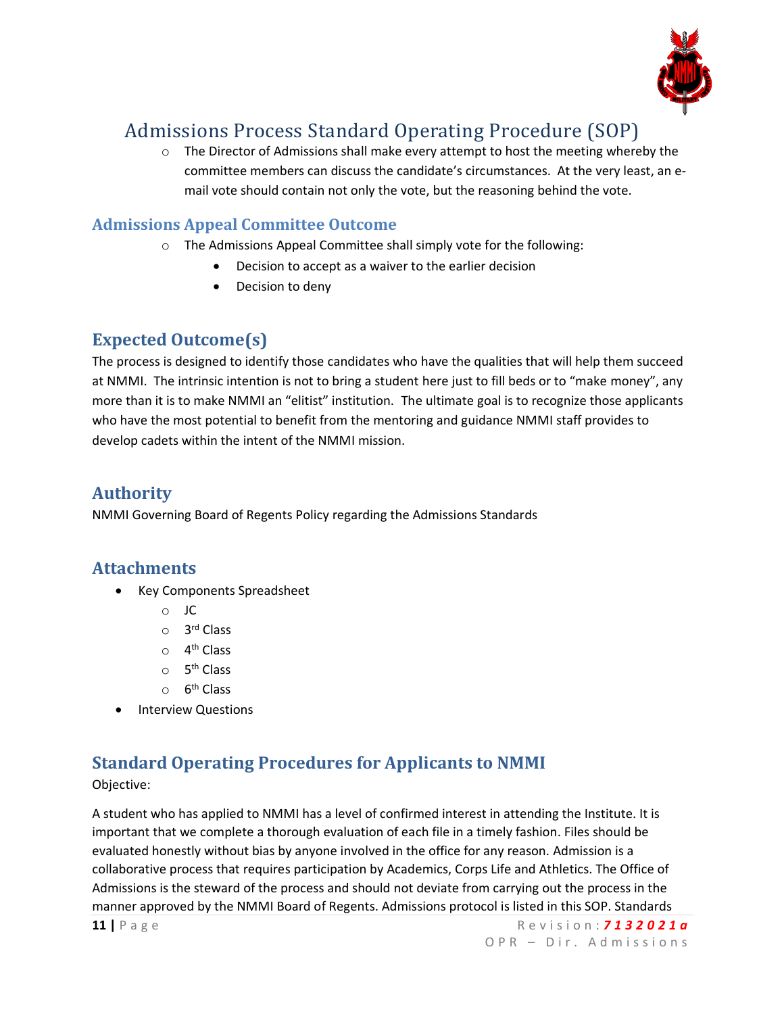

 $\circ$  The Director of Admissions shall make every attempt to host the meeting whereby the committee members can discuss the candidate's circumstances. At the very least, an email vote should contain not only the vote, but the reasoning behind the vote.

### **Admissions Appeal Committee Outcome**

- o The Admissions Appeal Committee shall simply vote for the following:
	- Decision to accept as a waiver to the earlier decision
	- Decision to deny

### **Expected Outcome(s)**

The process is designed to identify those candidates who have the qualities that will help them succeed at NMMI. The intrinsic intention is not to bring a student here just to fill beds or to "make money", any more than it is to make NMMI an "elitist" institution. The ultimate goal is to recognize those applicants who have the most potential to benefit from the mentoring and guidance NMMI staff provides to develop cadets within the intent of the NMMI mission.

### **Authority**

NMMI Governing Board of Regents Policy regarding the Admissions Standards

### **Attachments**

- Key Components Spreadsheet
	- o JC
	- o 3 rd Class
	- o 4<sup>th</sup> Class
	- o 5<sup>th</sup> Class
	- o 6<sup>th</sup> Class
- Interview Questions

## **Standard Operating Procedures for Applicants to NMMI**

Objective:

A student who has applied to NMMI has a level of confirmed interest in attending the Institute. It is important that we complete a thorough evaluation of each file in a timely fashion. Files should be evaluated honestly without bias by anyone involved in the office for any reason. Admission is a collaborative process that requires participation by Academics, Corps Life and Athletics. The Office of Admissions is the steward of the process and should not deviate from carrying out the process in the manner approved by the NMMI Board of Regents. Admissions protocol is listed in this SOP. Standards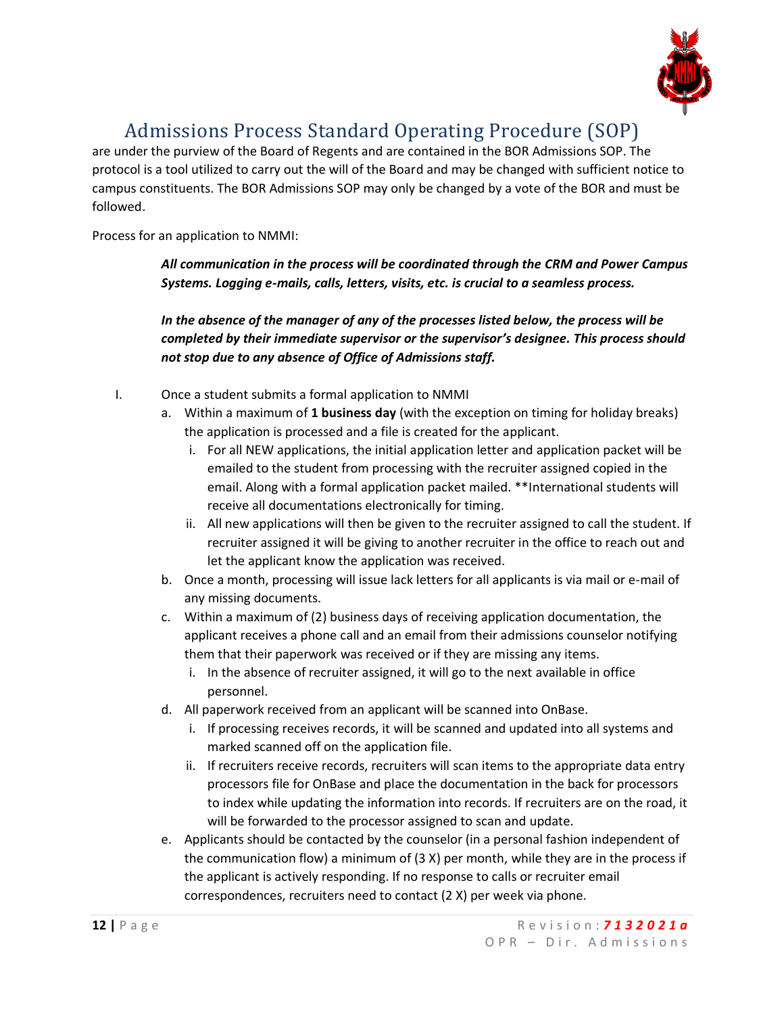

are under the purview of the Board of Regents and are contained in the BOR Admissions SOP. The protocol is a tool utilized to carry out the will of the Board and may be changed with sufficient notice to campus constituents. The BOR Admissions SOP may only be changed by a vote of the BOR and must be followed.

Process for an application to NMMI:

*All communication in the process will be coordinated through the CRM and Power Campus Systems. Logging e-mails, calls, letters, visits, etc. is crucial to a seamless process.*

*In the absence of the manager of any of the processes listed below, the process will be completed by their immediate supervisor or the supervisor's designee. This process should not stop due to any absence of Office of Admissions staff.*

- I. Once a student submits a formal application to NMMI
	- a. Within a maximum of **1 business day** (with the exception on timing for holiday breaks) the application is processed and a file is created for the applicant.
		- i. For all NEW applications, the initial application letter and application packet will be emailed to the student from processing with the recruiter assigned copied in the email. Along with a formal application packet mailed. \*\*International students will receive all documentations electronically for timing.
		- ii. All new applications will then be given to the recruiter assigned to call the student. If recruiter assigned it will be giving to another recruiter in the office to reach out and let the applicant know the application was received.
	- b. Once a month, processing will issue lack letters for all applicants is via mail or e-mail of any missing documents.
	- c. Within a maximum of (2) business days of receiving application documentation, the applicant receives a phone call and an email from their admissions counselor notifying them that their paperwork was received or if they are missing any items.
		- i. In the absence of recruiter assigned, it will go to the next available in office personnel.
	- d. All paperwork received from an applicant will be scanned into OnBase.
		- i. If processing receives records, it will be scanned and updated into all systems and marked scanned off on the application file.
		- ii. If recruiters receive records, recruiters will scan items to the appropriate data entry processors file for OnBase and place the documentation in the back for processors to index while updating the information into records. If recruiters are on the road, it will be forwarded to the processor assigned to scan and update.
	- e. Applicants should be contacted by the counselor (in a personal fashion independent of the communication flow) a minimum of (3 X) per month, while they are in the process if the applicant is actively responding. If no response to calls or recruiter email correspondences, recruiters need to contact (2 X) per week via phone.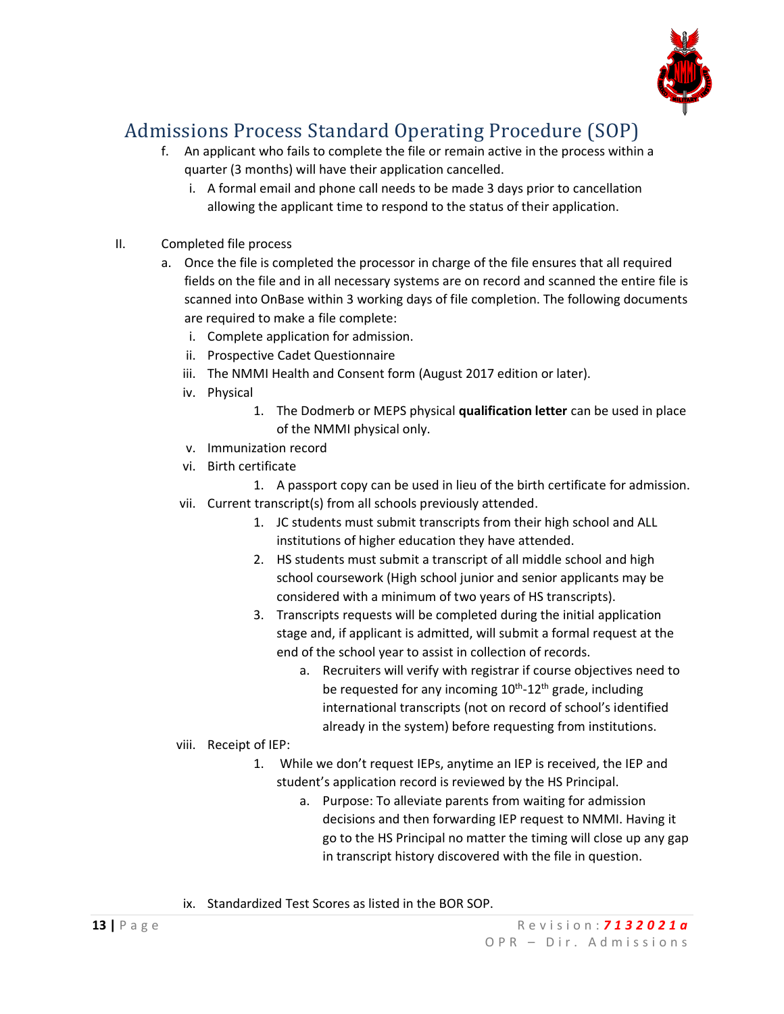

- f. An applicant who fails to complete the file or remain active in the process within a quarter (3 months) will have their application cancelled.
	- i. A formal email and phone call needs to be made 3 days prior to cancellation allowing the applicant time to respond to the status of their application.
- II. Completed file process
	- a. Once the file is completed the processor in charge of the file ensures that all required fields on the file and in all necessary systems are on record and scanned the entire file is scanned into OnBase within 3 working days of file completion. The following documents are required to make a file complete:
		- i. Complete application for admission.
		- ii. Prospective Cadet Questionnaire
		- iii. The NMMI Health and Consent form (August 2017 edition or later).
		- iv. Physical
			- 1. The Dodmerb or MEPS physical **qualification letter** can be used in place of the NMMI physical only.
		- v. Immunization record
		- vi. Birth certificate
			- 1. A passport copy can be used in lieu of the birth certificate for admission.
		- vii. Current transcript(s) from all schools previously attended.
			- 1. JC students must submit transcripts from their high school and ALL institutions of higher education they have attended.
			- 2. HS students must submit a transcript of all middle school and high school coursework (High school junior and senior applicants may be considered with a minimum of two years of HS transcripts).
			- 3. Transcripts requests will be completed during the initial application stage and, if applicant is admitted, will submit a formal request at the end of the school year to assist in collection of records.
				- a. Recruiters will verify with registrar if course objectives need to be requested for any incoming 10<sup>th</sup>-12<sup>th</sup> grade, including international transcripts (not on record of school's identified already in the system) before requesting from institutions.
		- viii. Receipt of IEP:
			- 1. While we don't request IEPs, anytime an IEP is received, the IEP and student's application record is reviewed by the HS Principal.
				- a. Purpose: To alleviate parents from waiting for admission decisions and then forwarding IEP request to NMMI. Having it go to the HS Principal no matter the timing will close up any gap in transcript history discovered with the file in question.
		- ix. Standardized Test Scores as listed in the BOR SOP.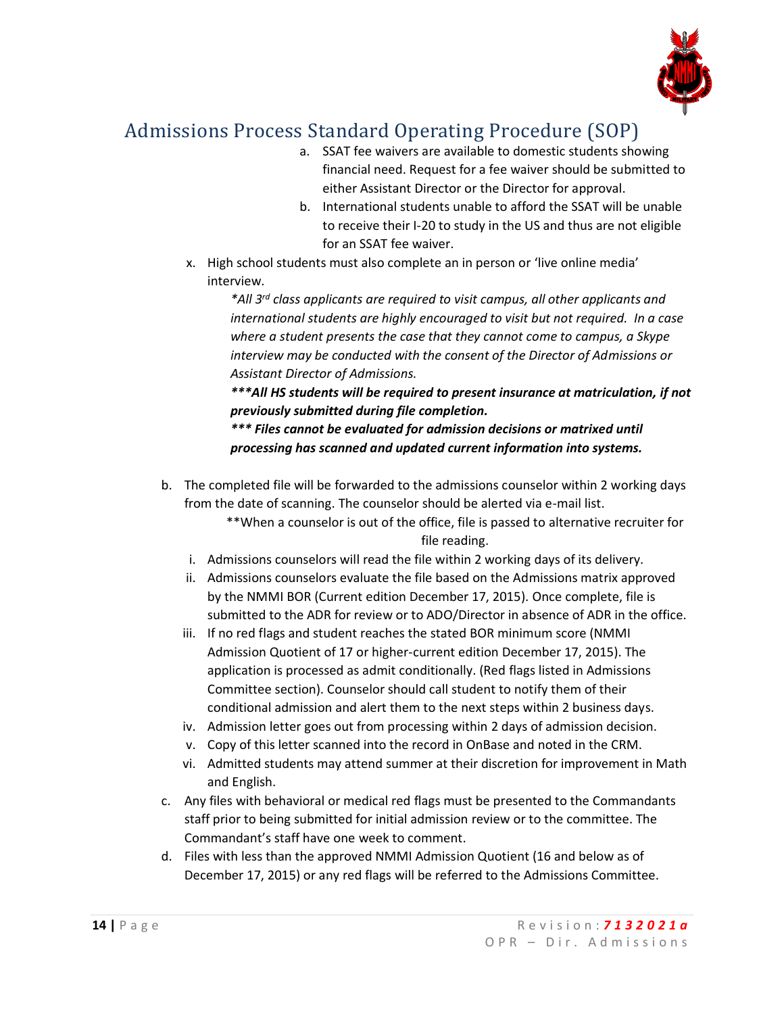

- a. SSAT fee waivers are available to domestic students showing financial need. Request for a fee waiver should be submitted to either Assistant Director or the Director for approval.
- b. International students unable to afford the SSAT will be unable to receive their I-20 to study in the US and thus are not eligible for an SSAT fee waiver.
- x. High school students must also complete an in person or 'live online media' interview.

*\*All 3 rd class applicants are required to visit campus, all other applicants and international students are highly encouraged to visit but not required. In a case where a student presents the case that they cannot come to campus, a Skype interview may be conducted with the consent of the Director of Admissions or Assistant Director of Admissions.*

*\*\*\*All HS students will be required to present insurance at matriculation, if not previously submitted during file completion.*

*\*\*\* Files cannot be evaluated for admission decisions or matrixed until processing has scanned and updated current information into systems.*

b. The completed file will be forwarded to the admissions counselor within 2 working days from the date of scanning. The counselor should be alerted via e-mail list.

\*\*When a counselor is out of the office, file is passed to alternative recruiter for file reading.

- i. Admissions counselors will read the file within 2 working days of its delivery.
- ii. Admissions counselors evaluate the file based on the Admissions matrix approved by the NMMI BOR (Current edition December 17, 2015). Once complete, file is submitted to the ADR for review or to ADO/Director in absence of ADR in the office.
- iii. If no red flags and student reaches the stated BOR minimum score (NMMI Admission Quotient of 17 or higher-current edition December 17, 2015). The application is processed as admit conditionally. (Red flags listed in Admissions Committee section). Counselor should call student to notify them of their conditional admission and alert them to the next steps within 2 business days.
- iv. Admission letter goes out from processing within 2 days of admission decision.
- v. Copy of this letter scanned into the record in OnBase and noted in the CRM.
- vi. Admitted students may attend summer at their discretion for improvement in Math and English.
- c. Any files with behavioral or medical red flags must be presented to the Commandants staff prior to being submitted for initial admission review or to the committee. The Commandant's staff have one week to comment.
- d. Files with less than the approved NMMI Admission Quotient (16 and below as of December 17, 2015) or any red flags will be referred to the Admissions Committee.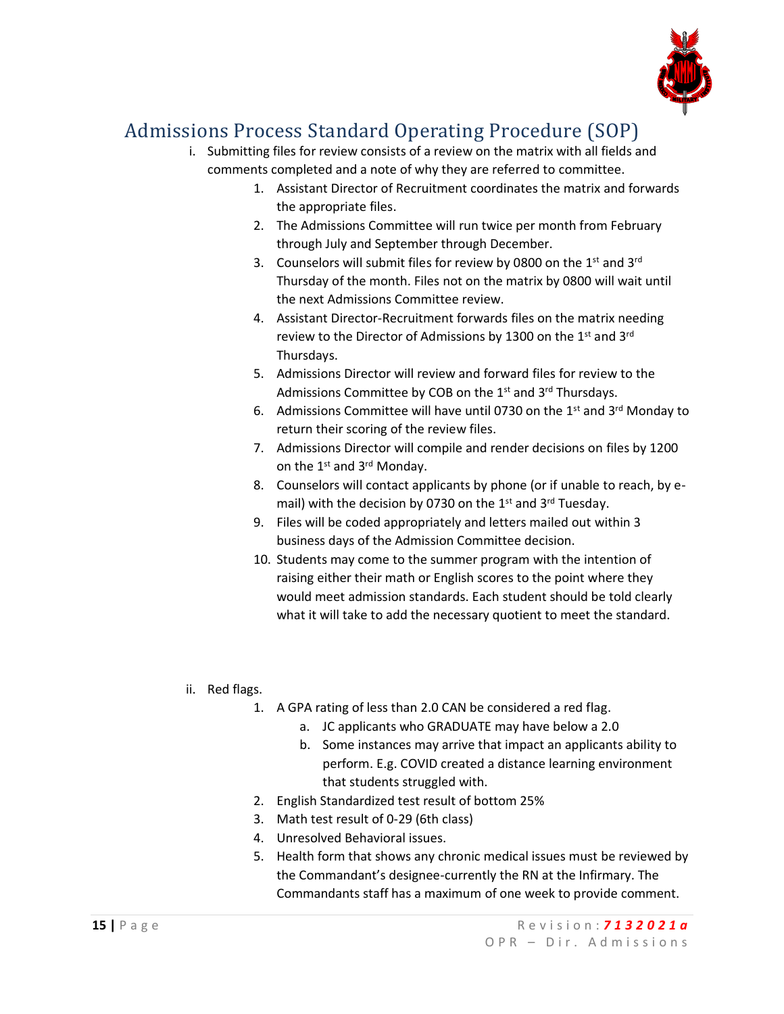

- i. Submitting files for review consists of a review on the matrix with all fields and comments completed and a note of why they are referred to committee.
	- 1. Assistant Director of Recruitment coordinates the matrix and forwards the appropriate files.
	- 2. The Admissions Committee will run twice per month from February through July and September through December.
	- 3. Counselors will submit files for review by 0800 on the  $1<sup>st</sup>$  and  $3<sup>rd</sup>$ Thursday of the month. Files not on the matrix by 0800 will wait until the next Admissions Committee review.
	- 4. Assistant Director-Recruitment forwards files on the matrix needing review to the Director of Admissions by 1300 on the 1st and 3rd Thursdays.
	- 5. Admissions Director will review and forward files for review to the Admissions Committee by COB on the 1<sup>st</sup> and 3<sup>rd</sup> Thursdays.
	- 6. Admissions Committee will have until 0730 on the  $1<sup>st</sup>$  and  $3<sup>rd</sup>$  Monday to return their scoring of the review files.
	- 7. Admissions Director will compile and render decisions on files by 1200 on the 1<sup>st</sup> and 3<sup>rd</sup> Monday.
	- 8. Counselors will contact applicants by phone (or if unable to reach, by email) with the decision by 0730 on the 1<sup>st</sup> and 3<sup>rd</sup> Tuesday.
	- 9. Files will be coded appropriately and letters mailed out within 3 business days of the Admission Committee decision.
	- 10. Students may come to the summer program with the intention of raising either their math or English scores to the point where they would meet admission standards. Each student should be told clearly what it will take to add the necessary quotient to meet the standard.
- ii. Red flags.
	- 1. A GPA rating of less than 2.0 CAN be considered a red flag.
		- a. JC applicants who GRADUATE may have below a 2.0
		- b. Some instances may arrive that impact an applicants ability to perform. E.g. COVID created a distance learning environment that students struggled with.
	- 2. English Standardized test result of bottom 25%
	- 3. Math test result of 0-29 (6th class)
	- 4. Unresolved Behavioral issues.
	- 5. Health form that shows any chronic medical issues must be reviewed by the Commandant's designee-currently the RN at the Infirmary. The Commandants staff has a maximum of one week to provide comment.